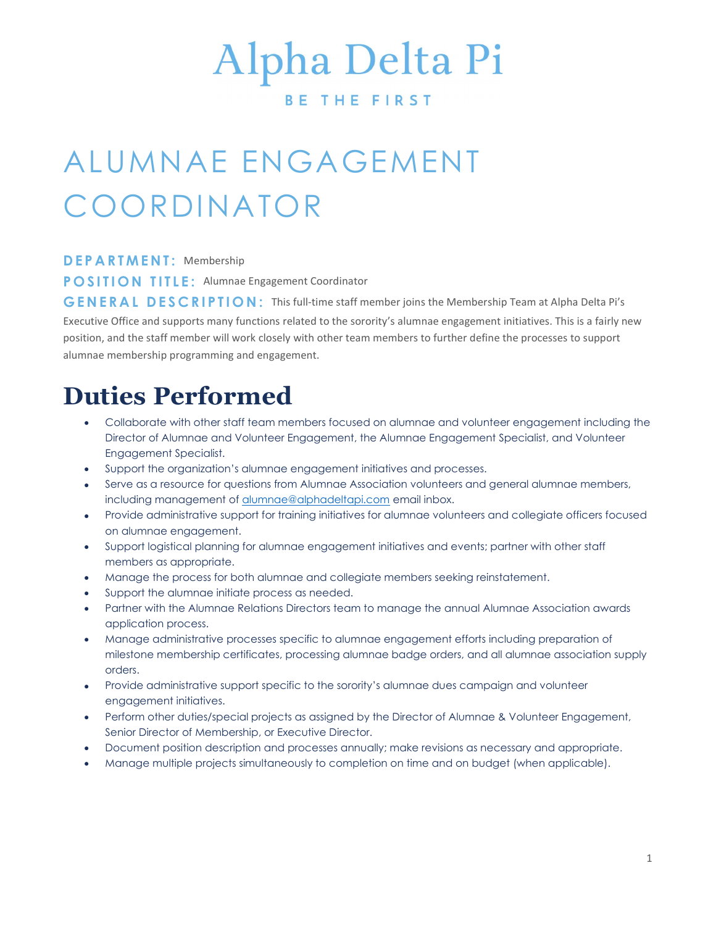# Alpha Delta Pi

#### **BETHEFIRST**

## ALUMNAE ENGAGEMENT COORDINATOR

#### DEPARTMENT: Membership

**POSITION TITLE: Alumnae Engagement Coordinator** 

GENERAL DESCRIPTION: This full-time staff member joins the Membership Team at Alpha Delta Pi's Executive Office and supports many functions related to the sorority's alumnae engagement initiatives. This is a fairly new position, and the staff member will work closely with other team members to further define the processes to support alumnae membership programming and engagement.

### Duties Performed

- Collaborate with other staff team members focused on alumnae and volunteer engagement including the Director of Alumnae and Volunteer Engagement, the Alumnae Engagement Specialist, and Volunteer Engagement Specialist.
- Support the organization's alumnae engagement initiatives and processes.
- Serve as a resource for questions from Alumnae Association volunteers and general alumnae members, including management of **alumnae@alphadeltapi.com** email inbox.
- Provide administrative support for training initiatives for alumnae volunteers and collegiate officers focused on alumnae engagement.
- Support logistical planning for alumnae engagement initiatives and events; partner with other staff members as appropriate.
- Manage the process for both alumnae and collegiate members seeking reinstatement.
- Support the alumnae initiate process as needed.
- Partner with the Alumnae Relations Directors team to manage the annual Alumnae Association awards application process.
- Manage administrative processes specific to alumnae engagement efforts including preparation of milestone membership certificates, processing alumnae badge orders, and all alumnae association supply orders.
- Provide administrative support specific to the sorority's alumnae dues campaign and volunteer engagement initiatives.
- Perform other duties/special projects as assigned by the Director of Alumnae & Volunteer Engagement, Senior Director of Membership, or Executive Director.
- Document position description and processes annually; make revisions as necessary and appropriate.
- Manage multiple projects simultaneously to completion on time and on budget (when applicable).